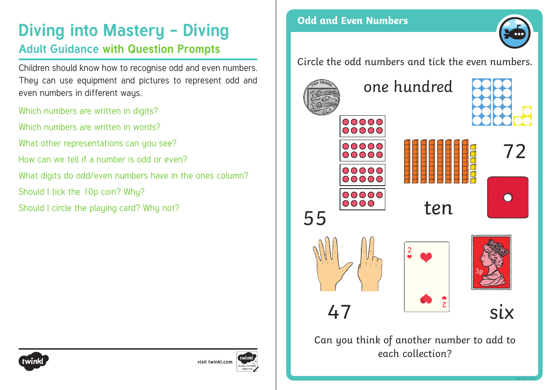# **Diving into Mastery - Diving and Secure 1 and Even Numbers**

### **Adult Guidance with Question Prompts**

Children should know how to recognise odd and even numbers. They can use equipment and pictures to represent odd and even numbers in different ways.

Which numbers are written in digits? Which numbers are written in words? What other representations can you see? How can we tell if a number is odd or even? What digits do odd/even numbers have in the ones column? Should I tick the 10p coin? Why? Should I circle the playing card? Why not?







Can you think of another number to add to each collection?

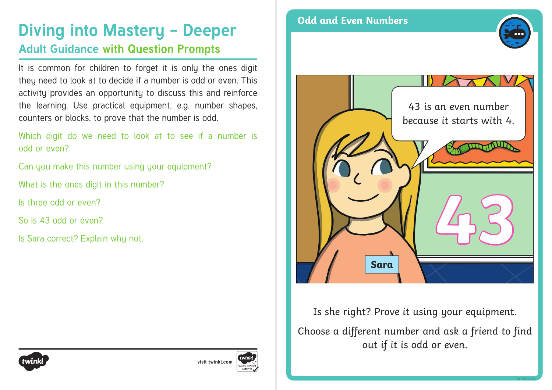## **Diving into Mastery - Deeper** Odd and Even Numbers **Adult Guidance with Question Prompts**

It is common for children to forget it is only the ones digit they need to look at to decide if a number is odd or even. This activity provides an opportunity to discuss this and reinforce the learning. Use practical equipment, e.g. number shapes, counters or blocks, to prove that the number is odd.

Which digit do we need to look at to see if a number is odd or even?

Can you make this number using your equipment?

What is the ones digit in this number?

Is three odd or even?

So is 43 odd or even?

Is Sara correct? Explain why not.





Is she right? Prove it using your equipment. Choose a different number and ask a friend to find out if it is odd or even.